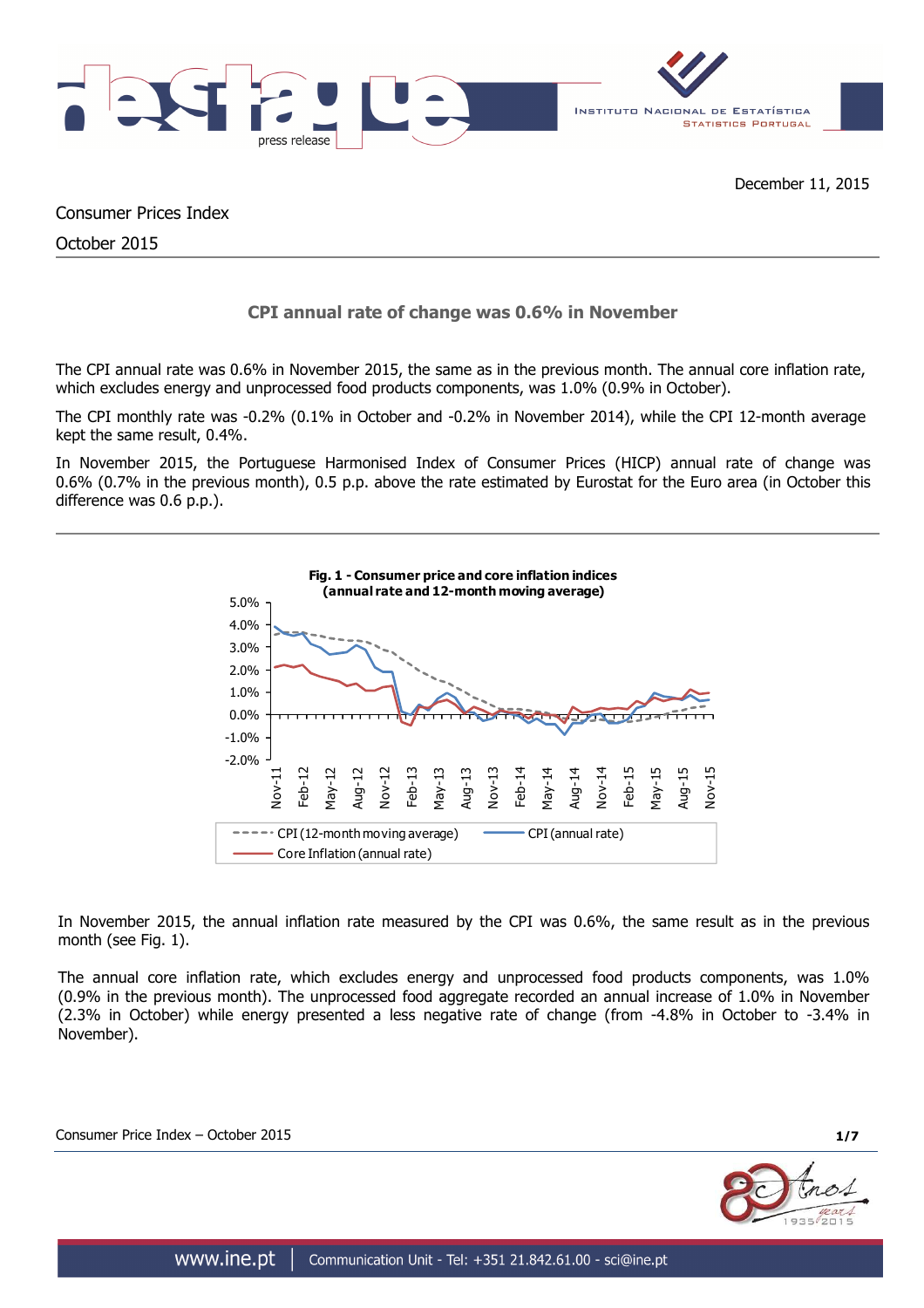

Consumer Prices Index

October 2015

# **CPI annual rate of change was 0.6% in November**

The CPI annual rate was 0.6% in November 2015, the same as in the previous month. The annual core inflation rate, which excludes energy and unprocessed food products components, was 1.0% (0.9% in October).

The CPI monthly rate was -0.2% (0.1% in October and -0.2% in November 2014), while the CPI 12-month average kept the same result, 0.4%.

In November 2015, the Portuguese Harmonised Index of Consumer Prices (HICP) annual rate of change was 0.6% (0.7% in the previous month), 0.5 p.p. above the rate estimated by Eurostat for the Euro area (in October this difference was 0.6 p.p.).



In November 2015, the annual inflation rate measured by the CPI was 0.6%, the same result as in the previous month (see Fig. 1).

The annual core inflation rate, which excludes energy and unprocessed food products components, was 1.0% (0.9% in the previous month). The unprocessed food aggregate recorded an annual increase of 1.0% in November (2.3% in October) while energy presented a less negative rate of change (from -4.8% in October to -3.4% in November).

Consumer Price Index – October 2015 **1/7**

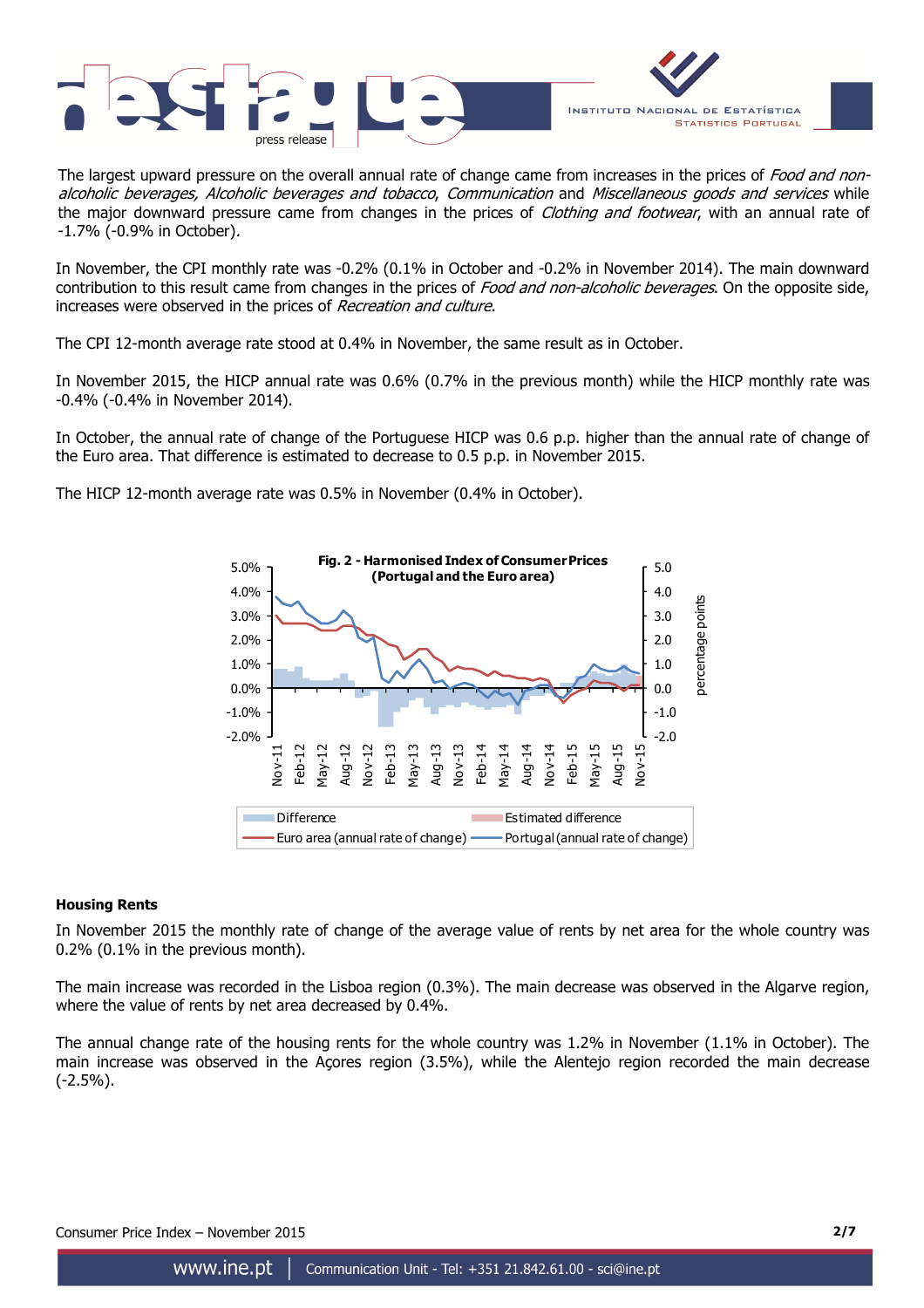



The largest upward pressure on the overall annual rate of change came from increases in the prices of Food and nonalcoholic beverages, Alcoholic beverages and tobacco, Communication and Miscellaneous goods and services while the major downward pressure came from changes in the prices of *Clothing and footwear*, with an annual rate of -1.7% (-0.9% in October).

In November, the CPI monthly rate was -0.2% (0.1% in October and -0.2% in November 2014). The main downward contribution to this result came from changes in the prices of Food and non-alcoholic beverages. On the opposite side, increases were observed in the prices of Recreation and culture.

The CPI 12-month average rate stood at 0.4% in November, the same result as in October.

In November 2015, the HICP annual rate was 0.6% (0.7% in the previous month) while the HICP monthly rate was -0.4% (-0.4% in November 2014).

In October, the annual rate of change of the Portuguese HICP was 0.6 p.p. higher than the annual rate of change of the Euro area. That difference is estimated to decrease to 0.5 p.p. in November 2015.

The HICP 12-month average rate was 0.5% in November (0.4% in October).



#### **Housing Rents**

In November 2015 the monthly rate of change of the average value of rents by net area for the whole country was 0.2% (0.1% in the previous month).

The main increase was recorded in the Lisboa region (0.3%). The main decrease was observed in the Algarve region, where the value of rents by net area decreased by 0.4%.

The annual change rate of the housing rents for the whole country was 1.2% in November (1.1% in October). The main increase was observed in the Açores region (3.5%), while the Alentejo region recorded the main decrease (-2.5%).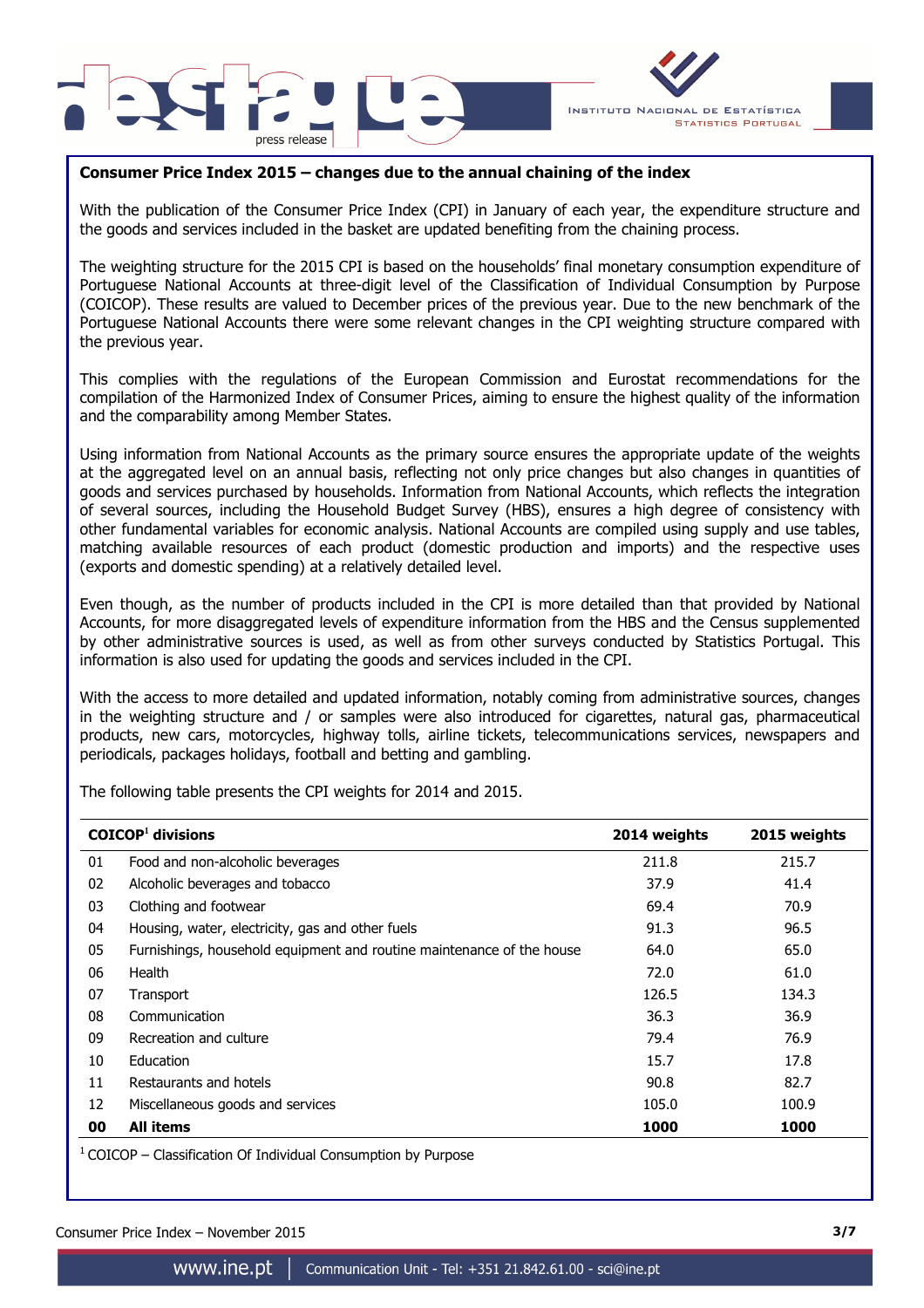



# **Consumer Price Index 2015 – changes due to the annual chaining of the index**

With the publication of the Consumer Price Index (CPI) in January of each year, the expenditure structure and the goods and services included in the basket are updated benefiting from the chaining process.

The weighting structure for the 2015 CPI is based on the households' final monetary consumption expenditure of Portuguese National Accounts at three-digit level of the Classification of Individual Consumption by Purpose (COICOP). These results are valued to December prices of the previous year. Due to the new benchmark of the Portuguese National Accounts there were some relevant changes in the CPI weighting structure compared with the previous year.

This complies with the regulations of the European Commission and Eurostat recommendations for the compilation of the Harmonized Index of Consumer Prices, aiming to ensure the highest quality of the information and the comparability among Member States.

Using information from National Accounts as the primary source ensures the appropriate update of the weights at the aggregated level on an annual basis, reflecting not only price changes but also changes in quantities of goods and services purchased by households. Information from National Accounts, which reflects the integration of several sources, including the Household Budget Survey (HBS), ensures a high degree of consistency with other fundamental variables for economic analysis. National Accounts are compiled using supply and use tables, matching available resources of each product (domestic production and imports) and the respective uses (exports and domestic spending) at a relatively detailed level.

Even though, as the number of products included in the CPI is more detailed than that provided by National Accounts, for more disaggregated levels of expenditure information from the HBS and the Census supplemented by other administrative sources is used, as well as from other surveys conducted by Statistics Portugal. This information is also used for updating the goods and services included in the CPI.

With the access to more detailed and updated information, notably coming from administrative sources, changes in the weighting structure and / or samples were also introduced for cigarettes, natural gas, pharmaceutical products, new cars, motorcycles, highway tolls, airline tickets, telecommunications services, newspapers and periodicals, packages holidays, football and betting and gambling.

The following table presents the CPI weights for 2014 and 2015.

|    | $COICOP1$ divisions                                                   | 2014 weights | 2015 weights |  |
|----|-----------------------------------------------------------------------|--------------|--------------|--|
| 01 | Food and non-alcoholic beverages                                      | 211.8        | 215.7        |  |
| 02 | Alcoholic beverages and tobacco                                       | 37.9         | 41.4         |  |
| 03 | Clothing and footwear                                                 | 69.4         | 70.9         |  |
| 04 | Housing, water, electricity, gas and other fuels                      | 91.3         | 96.5         |  |
| 05 | Furnishings, household equipment and routine maintenance of the house | 64.0         | 65.0         |  |
| 06 | Health                                                                | 72.0         | 61.0         |  |
| 07 | Transport                                                             | 126.5        | 134.3        |  |
| 08 | Communication                                                         | 36.3         | 36.9         |  |
| 09 | Recreation and culture                                                | 79.4         | 76.9         |  |
| 10 | Education                                                             | 15.7         | 17.8         |  |
| 11 | Restaurants and hotels                                                | 90.8         | 82.7         |  |
| 12 | Miscellaneous goods and services                                      | 105.0        | 100.9        |  |
| 00 | <b>All items</b>                                                      | 1000         | 1000         |  |

 $1$  COICOP – Classification Of Individual Consumption by Purpose

Consumer Price Index – November 2015 **3/7**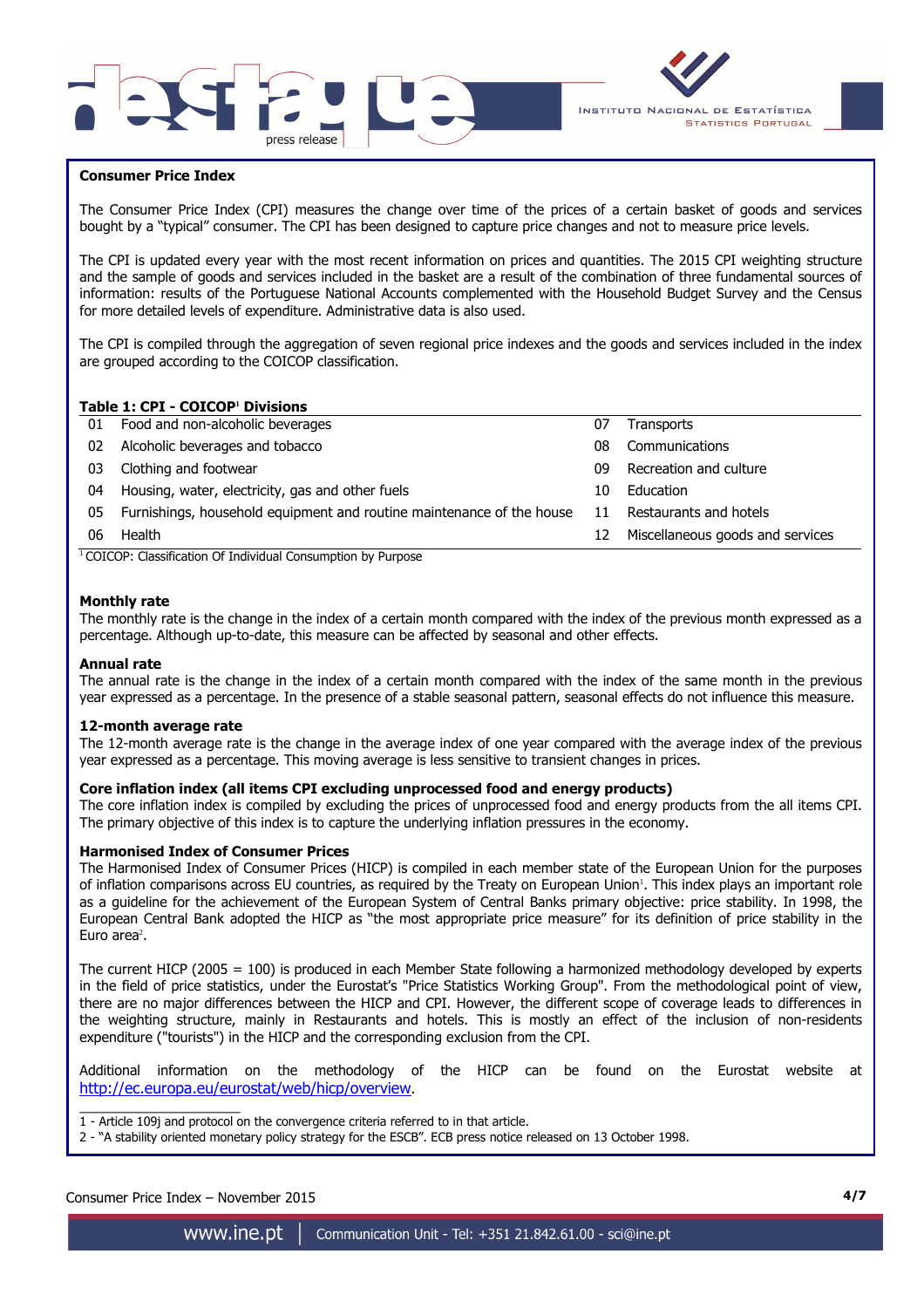



## **Consumer Price Index**

I

The Consumer Price Index (CPI) measures the change over time of the prices of a certain basket of goods and services bought by a "typical" consumer. The CPI has been designed to capture price changes and not to measure price levels.

The CPI is updated every year with the most recent information on prices and quantities. The 2015 CPI weighting structure and the sample of goods and services included in the basket are a result of the combination of three fundamental sources of information: results of the Portuguese National Accounts complemented with the Household Budget Survey and the Census for more detailed levels of expenditure. Administrative data is also used.

The CPI is compiled through the aggregation of seven regional price indexes and the goods and services included in the index are grouped according to the COICOP classification.

### **Table 1: CPI - COICOP<sup>1</sup> Divisions**

| 01 | Food and non-alcoholic beverages                                      | 07 | <b>Transports</b>                |
|----|-----------------------------------------------------------------------|----|----------------------------------|
| 02 | Alcoholic beverages and tobacco                                       | 08 | Communications                   |
| 03 | Clothing and footwear                                                 | 09 | Recreation and culture           |
| 04 | Housing, water, electricity, gas and other fuels                      | 10 | Education                        |
| 05 | Furnishings, household equipment and routine maintenance of the house | 11 | Restaurants and hotels           |
| 06 | Health                                                                | 12 | Miscellaneous goods and services |
|    | $\cdots$<br>$\cdots$<br>$\sim$                                        |    |                                  |

<sup>1</sup> COICOP: Classification Of Individual Consumption by Purpose

#### **Monthly rate**

The monthly rate is the change in the index of a certain month compared with the index of the previous month expressed as a percentage. Although up-to-date, this measure can be affected by seasonal and other effects.

#### **Annual rate**

The annual rate is the change in the index of a certain month compared with the index of the same month in the previous year expressed as a percentage. In the presence of a stable seasonal pattern, seasonal effects do not influence this measure.

#### **12-month average rate**

The 12-month average rate is the change in the average index of one year compared with the average index of the previous year expressed as a percentage. This moving average is less sensitive to transient changes in prices.

#### **Core inflation index (all items CPI excluding unprocessed food and energy products)**

The core inflation index is compiled by excluding the prices of unprocessed food and energy products from the all items CPI. The primary objective of this index is to capture the underlying inflation pressures in the economy.

#### **Harmonised Index of Consumer Prices**

The Harmonised Index of Consumer Prices (HICP) is compiled in each member state of the European Union for the purposes of inflation comparisons across EU countries, as required by the Treaty on European Union'. This index plays an important role as a guideline for the achievement of the European System of Central Banks primary objective: price stability. In 1998, the European Central Bank adopted the HICP as "the most appropriate price measure" for its definition of price stability in the Euro area<sup>2</sup>.

The current HICP (2005 = 100) is produced in each Member State following a harmonized methodology developed by experts in the field of price statistics, under the Eurostat's "Price Statistics Working Group". From the methodological point of view, there are no major differences between the HICP and CPI. However, the different scope of coverage leads to differences in the weighting structure, mainly in Restaurants and hotels. This is mostly an effect of the inclusion of non-residents expenditure ("tourists") in the HICP and the corresponding exclusion from the CPI.

Additional information on the methodology of the HICP can be found on the Eurostat website at http://ec.europa.eu/eurostat/web/hicp/overview.

\_\_\_\_\_\_\_\_\_\_\_\_\_\_\_\_\_\_\_\_\_ 1 - Article 109j and protocol on the convergence criteria referred to in that article.

2 - "A stability oriented monetary policy strategy for the ESCB". ECB press notice released on 13 October 1998.

## Consumer Price Index – November 2015 **4/7**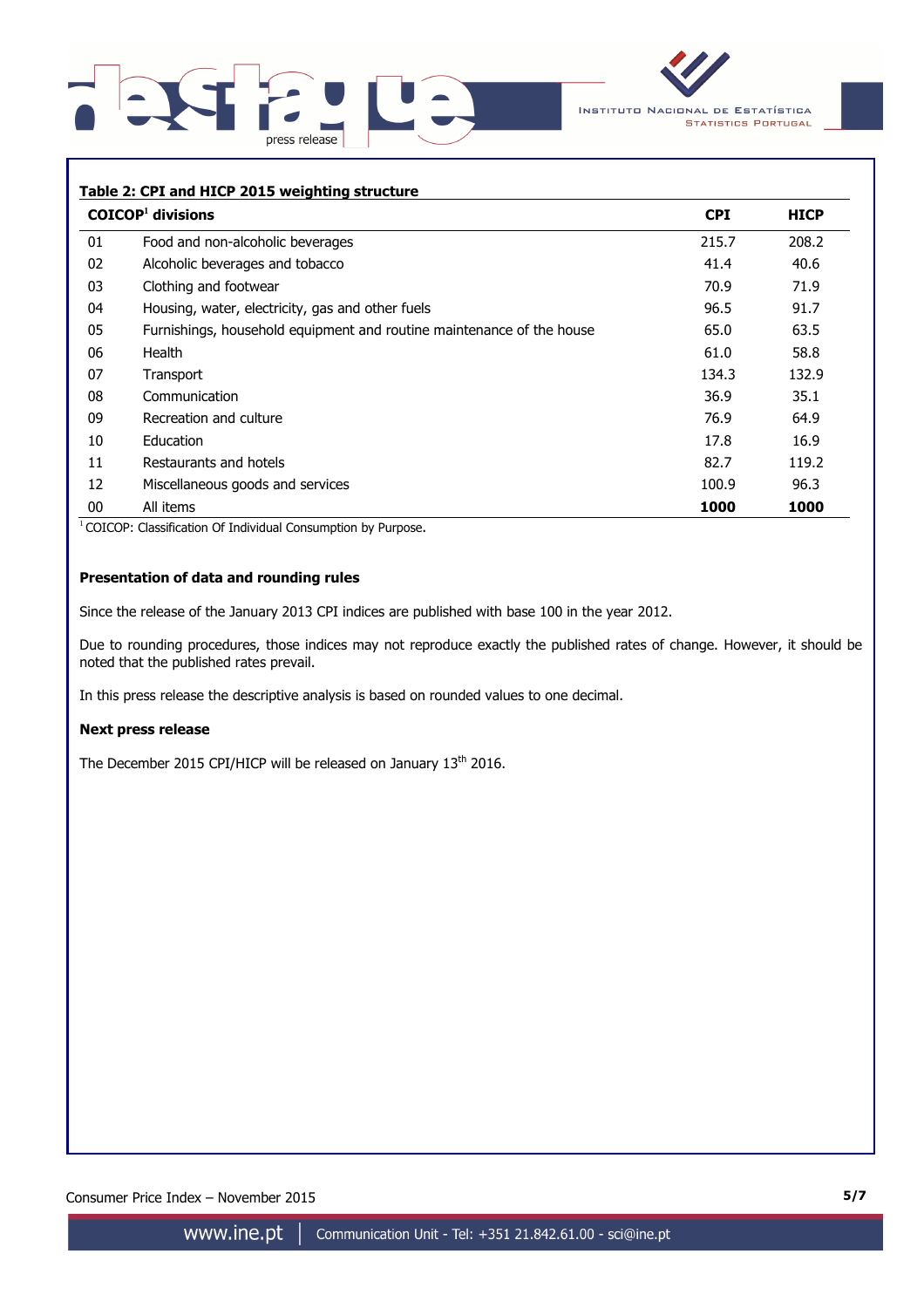



## **Table 2: CPI and HICP 2015 weighting structure**

|    | $COICOP1$ divisions                                                   | <b>CPI</b> | <b>HICP</b> |
|----|-----------------------------------------------------------------------|------------|-------------|
| 01 | Food and non-alcoholic beverages                                      | 215.7      | 208.2       |
| 02 | Alcoholic beverages and tobacco                                       | 41.4       | 40.6        |
| 03 | Clothing and footwear                                                 | 70.9       | 71.9        |
| 04 | Housing, water, electricity, gas and other fuels                      | 96.5       | 91.7        |
| 05 | Furnishings, household equipment and routine maintenance of the house | 65.0       | 63.5        |
| 06 | Health                                                                | 61.0       | 58.8        |
| 07 | Transport                                                             | 134.3      | 132.9       |
| 08 | Communication                                                         | 36.9       | 35.1        |
| 09 | Recreation and culture                                                | 76.9       | 64.9        |
| 10 | Education                                                             | 17.8       | 16.9        |
| 11 | Restaurants and hotels                                                | 82.7       | 119.2       |
| 12 | Miscellaneous goods and services                                      | 100.9      | 96.3        |
| 00 | All items                                                             | 1000       | 1000        |

<sup>1</sup> COICOP: Classification Of Individual Consumption by Purpose.

## **Presentation of data and rounding rules**

Since the release of the January 2013 CPI indices are published with base 100 in the year 2012.

Due to rounding procedures, those indices may not reproduce exactly the published rates of change. However, it should be noted that the published rates prevail.

In this press release the descriptive analysis is based on rounded values to one decimal.

#### **Next press release**

The December 2015 CPI/HICP will be released on January 13<sup>th</sup> 2016.

Consumer Price Index – November 2015 **5/7**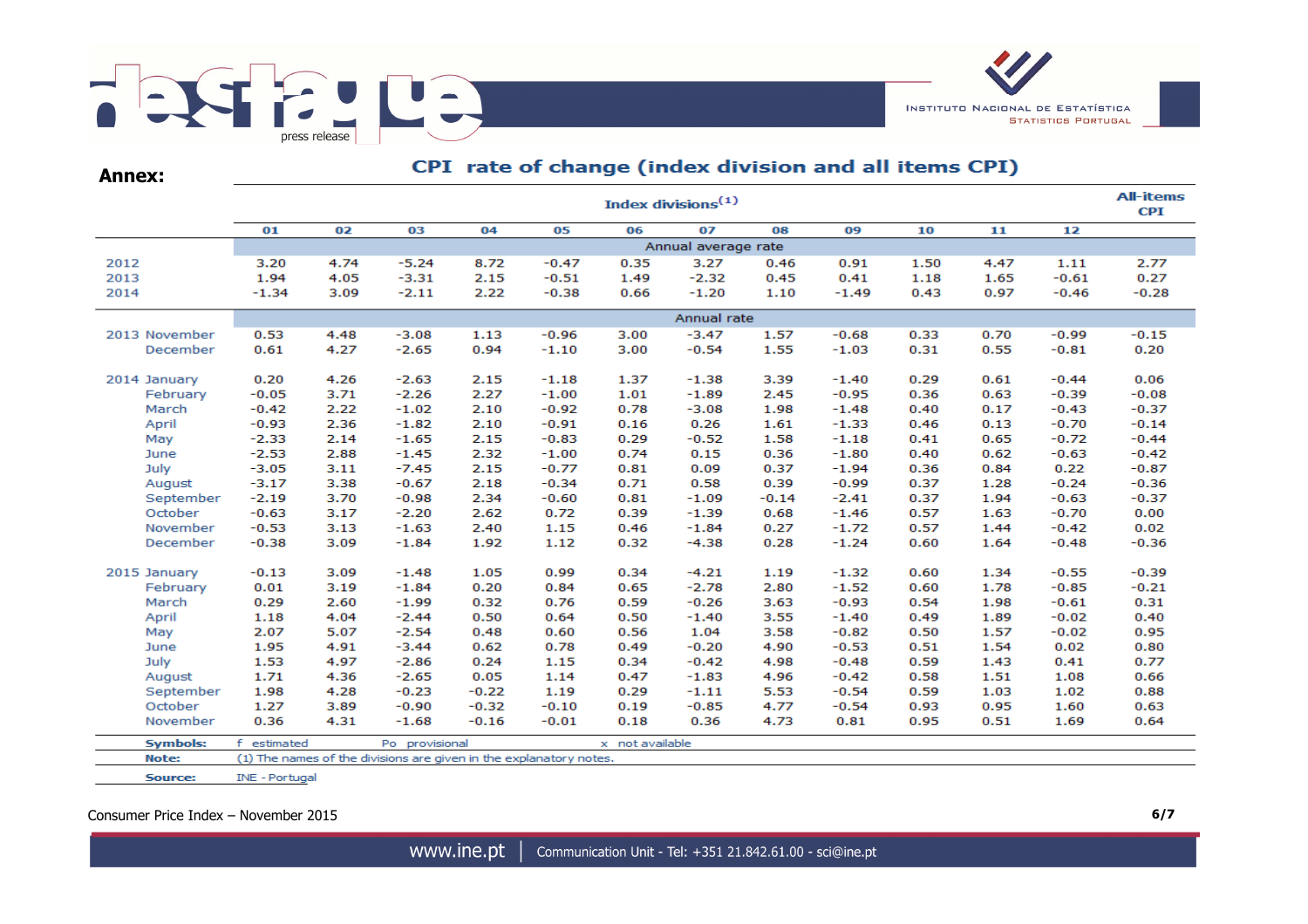

**Annex:**

# CPI rate of change (index division and all items CPI)

|                 |                       |                     |                                                                    |         |         |                 | Index divisions <sup>(1)</sup> |         |         |      |      |         | <b>All-items</b><br><b>CPI</b> |
|-----------------|-----------------------|---------------------|--------------------------------------------------------------------|---------|---------|-----------------|--------------------------------|---------|---------|------|------|---------|--------------------------------|
|                 | 01                    | 02                  | 03                                                                 | 04      | 05      | 06              | 07                             | 08      | 09      | 10   | 11   | 12      |                                |
|                 |                       | Annual average rate |                                                                    |         |         |                 |                                |         |         |      |      |         |                                |
| 2012            | 3.20                  | 4.74                | $-5.24$                                                            | 8.72    | $-0.47$ | 0.35            | 3.27                           | 0.46    | 0.91    | 1.50 | 4.47 | 1.11    | 2.77                           |
| 2013            | 1.94                  | 4.05                | $-3.31$                                                            | 2.15    | $-0.51$ | 1.49            | $-2.32$                        | 0.45    | 0.41    | 1.18 | 1.65 | $-0.61$ | 0.27                           |
| 2014            | $-1.34$               | 3.09                | $-2.11$                                                            | 2.22    | $-0.38$ | 0.66            | $-1.20$                        | 1.10    | $-1.49$ | 0.43 | 0.97 | $-0.46$ | $-0.28$                        |
|                 |                       | Annual rate         |                                                                    |         |         |                 |                                |         |         |      |      |         |                                |
| 2013 November   | 0.53                  | 4.48                | $-3.08$                                                            | 1.13    | $-0.96$ | 3.00            | $-3.47$                        | 1.57    | $-0.68$ | 0.33 | 0.70 | $-0.99$ | $-0.15$                        |
| December        | 0.61                  | 4.27                | $-2.65$                                                            | 0.94    | $-1.10$ | 3.00            | $-0.54$                        | 1.55    | $-1.03$ | 0.31 | 0.55 | $-0.81$ | 0.20                           |
|                 |                       |                     |                                                                    |         |         |                 |                                |         |         |      |      |         |                                |
| 2014 January    | 0.20                  | 4.26                | $-2.63$                                                            | 2.15    | $-1.18$ | 1.37            | $-1.38$                        | 3.39    | $-1.40$ | 0.29 | 0.61 | $-0.44$ | 0.06                           |
| February        | $-0.05$               | 3.71                | $-2.26$                                                            | 2.27    | $-1.00$ | 1.01            | $-1.89$                        | 2.45    | $-0.95$ | 0.36 | 0.63 | $-0.39$ | $-0.08$                        |
| March           | $-0.42$               | 2.22                | $-1.02$                                                            | 2.10    | $-0.92$ | 0.78            | $-3.08$                        | 1.98    | $-1.48$ | 0.40 | 0.17 | $-0.43$ | $-0.37$                        |
| April           | $-0.93$               | 2.36                | $-1.82$                                                            | 2.10    | $-0.91$ | 0.16            | 0.26                           | 1.61    | $-1.33$ | 0.46 | 0.13 | $-0.70$ | $-0.14$                        |
| May             | $-2.33$               | 2.14                | $-1.65$                                                            | 2.15    | $-0.83$ | 0.29            | $-0.52$                        | 1.58    | $-1.18$ | 0.41 | 0.65 | $-0.72$ | $-0.44$                        |
| June            | $-2.53$               | 2.88                | $-1.45$                                                            | 2.32    | $-1.00$ | 0.74            | 0.15                           | 0.36    | $-1.80$ | 0.40 | 0.62 | $-0.63$ | $-0.42$                        |
| July            | $-3.05$               | 3.11                | $-7.45$                                                            | 2.15    | $-0.77$ | 0.81            | 0.09                           | 0.37    | $-1.94$ | 0.36 | 0.84 | 0.22    | $-0.87$                        |
| August          | $-3.17$               | 3.38                | $-0.67$                                                            | 2.18    | $-0.34$ | 0.71            | 0.58                           | 0.39    | $-0.99$ | 0.37 | 1.28 | $-0.24$ | $-0.36$                        |
| September       | $-2.19$               | 3.70                | $-0.98$                                                            | 2.34    | $-0.60$ | 0.81            | $-1.09$                        | $-0.14$ | $-2.41$ | 0.37 | 1.94 | $-0.63$ | $-0.37$                        |
| October         | $-0.63$               | 3.17                | $-2.20$                                                            | 2.62    | 0.72    | 0.39            | $-1.39$                        | 0.68    | $-1.46$ | 0.57 | 1.63 | $-0.70$ | 0.00                           |
| November        | $-0.53$               | 3.13                | $-1.63$                                                            | 2.40    | 1.15    | 0.46            | $-1.84$                        | 0.27    | $-1.72$ | 0.57 | 1.44 | $-0.42$ | 0.02                           |
| December        | $-0.38$               | 3.09                | $-1.84$                                                            | 1.92    | 1.12    | 0.32            | $-4.38$                        | 0.28    | $-1.24$ | 0.60 | 1.64 | $-0.48$ | $-0.36$                        |
|                 |                       |                     |                                                                    |         |         |                 |                                |         |         |      |      |         |                                |
| 2015 January    | $-0.13$               | 3.09                | $-1.48$                                                            | 1.05    | 0.99    | 0.34            | $-4.21$                        | 1.19    | $-1.32$ | 0.60 | 1.34 | $-0.55$ | $-0.39$                        |
| February        | 0.01                  | 3.19                | $-1.84$                                                            | 0.20    | 0.84    | 0.65            | $-2.78$                        | 2.80    | $-1.52$ | 0.60 | 1.78 | $-0.85$ | $-0.21$                        |
| March           | 0.29                  | 2.60                | $-1.99$                                                            | 0.32    | 0.76    | 0.59            | $-0.26$                        | 3.63    | $-0.93$ | 0.54 | 1.98 | $-0.61$ | 0.31                           |
| April           | 1.18                  | 4.04                | $-2.44$                                                            | 0.50    | 0.64    | 0.50            | $-1.40$                        | 3.55    | $-1.40$ | 0.49 | 1.89 | $-0.02$ | 0.40                           |
| May             | 2.07                  | 5.07                | $-2.54$                                                            | 0.48    | 0.60    | 0.56            | 1.04                           | 3.58    | $-0.82$ | 0.50 | 1.57 | $-0.02$ | 0.95                           |
| June            | 1.95                  | 4.91                | $-3.44$                                                            | 0.62    | 0.78    | 0.49            | $-0.20$                        | 4.90    | $-0.53$ | 0.51 | 1.54 | 0.02    | 0.80                           |
| July            | 1.53                  | 4.97                | $-2.86$                                                            | 0.24    | 1.15    | 0.34            | $-0.42$                        | 4.98    | $-0.48$ | 0.59 | 1.43 | 0.41    | 0.77                           |
| August          | 1.71                  | 4.36                | $-2.65$                                                            | 0.05    | 1.14    | 0.47            | $-1.83$                        | 4.96    | $-0.42$ | 0.58 | 1.51 | 1.08    | 0.66                           |
| September       | 1.98                  | 4.28                | $-0.23$                                                            | $-0.22$ | 1.19    | 0.29            | $-1.11$                        | 5.53    | $-0.54$ | 0.59 | 1.03 | 1.02    | 0.88                           |
| October         | 1.27                  | 3.89                | $-0.90$                                                            | $-0.32$ | $-0.10$ | 0.19            | $-0.85$                        | 4.77    | $-0.54$ | 0.93 | 0.95 | 1.60    | 0.63                           |
| November        | 0.36                  | 4.31                | $-1.68$                                                            | $-0.16$ | $-0.01$ | 0.18            | 0.36                           | 4.73    | 0.81    | 0.95 | 0.51 | 1.69    | 0.64                           |
| <b>Symbols:</b> | f estimated           |                     | Po provisional                                                     |         |         | x not available |                                |         |         |      |      |         |                                |
| Note:           |                       |                     | (1) The names of the divisions are given in the explanatory notes. |         |         |                 |                                |         |         |      |      |         |                                |
| Source:         | <b>INE - Portugal</b> |                     |                                                                    |         |         |                 |                                |         |         |      |      |         |                                |

Consumer Price Index – November 2015 **6/7**